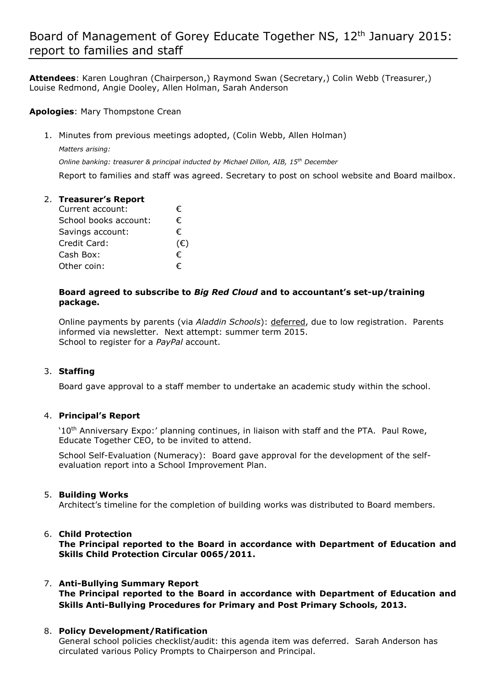## Board of Management of Gorey Educate Together NS, 12<sup>th</sup> January 2015: report to families and staff

**Attendees**: Karen Loughran (Chairperson,) Raymond Swan (Secretary,) Colin Webb (Treasurer,) Louise Redmond, Angie Dooley, Allen Holman, Sarah Anderson

**Apologies**: Mary Thompstone Crean

1. Minutes from previous meetings adopted, (Colin Webb, Allen Holman)

*Matters arising: Online banking: treasurer & principal inducted by Michael Dillon, AIB, 15th December* Report to families and staff was agreed. Secretary to post on school website and Board mailbox.

### 2. **Treasurer's Report**  Current account:  $\epsilon$ School books account:  $\epsilon$ Savings account: € Credit Card: (€) Cash Box:  $\epsilon$ Other coin:  $\epsilon$

### **Board agreed to subscribe to** *Big Red Cloud* **and to accountant's set-up/training package.**

Online payments by parents (via *Aladdin Schools*): deferred, due to low registration. Parents informed via newsletter. Next attempt: summer term 2015. School to register for a *PayPal* account.

### 3. **Staffing**

Board gave approval to a staff member to undertake an academic study within the school.

### 4. **Principal's Report**

'10th Anniversary Expo:' planning continues, in liaison with staff and the PTA. Paul Rowe, Educate Together CEO, to be invited to attend.

School Self-Evaluation (Numeracy): Board gave approval for the development of the selfevaluation report into a School Improvement Plan.

#### 5. **Building Works**

Architect's timeline for the completion of building works was distributed to Board members.

### 6. **Child Protection**

**The Principal reported to the Board in accordance with Department of Education and Skills Child Protection Circular 0065/2011.**

# 7. **Anti-Bullying Summary Report**

**The Principal reported to the Board in accordance with Department of Education and Skills Anti-Bullying Procedures for Primary and Post Primary Schools, 2013.** 

### 8. **Policy Development/Ratification**

General school policies checklist/audit: this agenda item was deferred. Sarah Anderson has circulated various Policy Prompts to Chairperson and Principal.